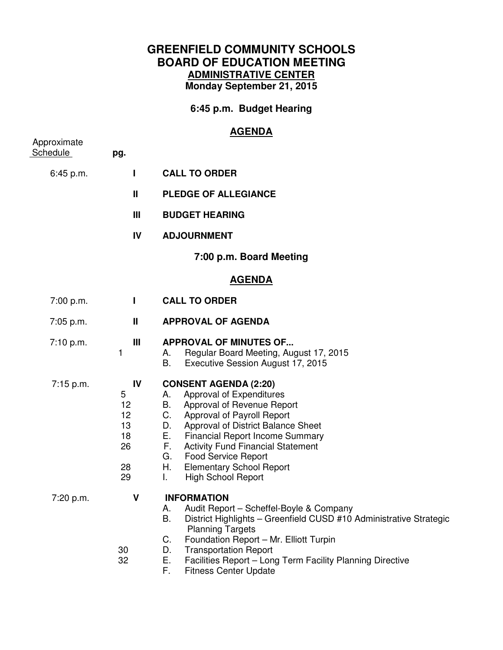# **GREENFIELD COMMUNITY SCHOOLS BOARD OF EDUCATION MEETING ADMINISTRATIVE CENTER Monday September 21, 2015**

**6:45 p.m. Budget Hearing** 

# **AGENDA**

| Approximate<br>Schedule | pg.                                               |                                                                                                                                                                                                                                                                                                                                                                                                 |
|-------------------------|---------------------------------------------------|-------------------------------------------------------------------------------------------------------------------------------------------------------------------------------------------------------------------------------------------------------------------------------------------------------------------------------------------------------------------------------------------------|
| 6:45 p.m.               | L                                                 | <b>CALL TO ORDER</b>                                                                                                                                                                                                                                                                                                                                                                            |
|                         | $\mathbf{H}$                                      | <b>PLEDGE OF ALLEGIANCE</b>                                                                                                                                                                                                                                                                                                                                                                     |
|                         | Ш                                                 | <b>BUDGET HEARING</b>                                                                                                                                                                                                                                                                                                                                                                           |
|                         | IV                                                | <b>ADJOURNMENT</b>                                                                                                                                                                                                                                                                                                                                                                              |
|                         |                                                   | 7:00 p.m. Board Meeting                                                                                                                                                                                                                                                                                                                                                                         |
| <u>AGENDA</u>           |                                                   |                                                                                                                                                                                                                                                                                                                                                                                                 |
| 7:00 p.m.               | L                                                 | <b>CALL TO ORDER</b>                                                                                                                                                                                                                                                                                                                                                                            |
| 7:05 p.m.               | Ш                                                 | <b>APPROVAL OF AGENDA</b>                                                                                                                                                                                                                                                                                                                                                                       |
| 7:10 p.m.               | Ш<br>1                                            | <b>APPROVAL OF MINUTES OF</b><br>Regular Board Meeting, August 17, 2015<br>А.<br>В.<br>Executive Session August 17, 2015                                                                                                                                                                                                                                                                        |
| 7:15 p.m.               | IV<br>5<br>12<br>12<br>13<br>18<br>26<br>28<br>29 | <b>CONSENT AGENDA (2:20)</b><br>Approval of Expenditures<br>А.<br>B. Approval of Revenue Report<br>C. Approval of Payroll Report<br>Approval of District Balance Sheet<br>D.<br>E.,<br><b>Financial Report Income Summary</b><br>F.<br><b>Activity Fund Financial Statement</b><br><b>Food Service Report</b><br>G.<br><b>Elementary School Report</b><br>Н.<br>L.<br><b>High School Report</b> |
| 7:20 p.m.               | V<br>30<br>32                                     | <b>INFORMATION</b><br>Audit Report - Scheffel-Boyle & Company<br>А.<br>District Highlights - Greenfield CUSD #10 Administrative Strategic<br>В.<br><b>Planning Targets</b><br>Foundation Report - Mr. Elliott Turpin<br>C.<br>D.<br><b>Transportation Report</b><br>Ε.<br>Facilities Report - Long Term Facility Planning Directive<br>F.<br><b>Fitness Center Update</b>                       |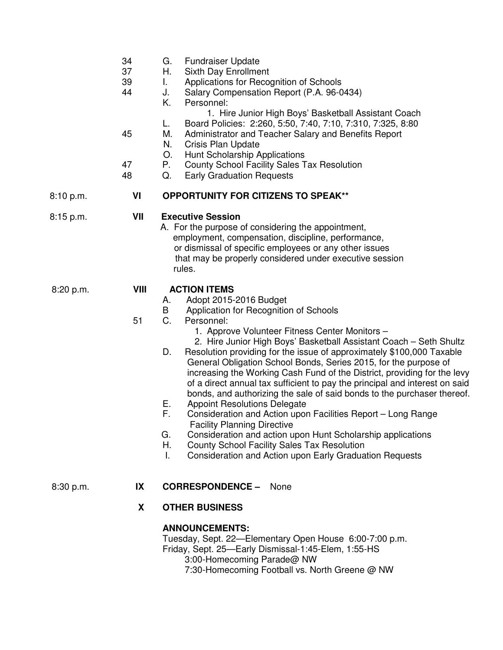- 34 G. Fundraiser Update
- 37 H. Sixth Day Enrollment
- 39 I. Applications for Recognition of Schools
- 44 J. Salary Compensation Report (P.A. 96-0434)
	- K. Personnel:
		- 1. Hire Junior High Boys' Basketball Assistant Coach
	- L. Board Policies: 2:260, 5:50, 7:40, 7:10, 7:310, 7:325, 8:80
- 45 M. Administrator and Teacher Salary and Benefits Report
	- N. Crisis Plan Update
		- O. Hunt Scholarship Applications
- 47 P. County School Facility Sales Tax Resolution
- 48 Q. Early Graduation Requests

## 8:10 p.m. **VI OPPORTUNITY FOR CITIZENS TO SPEAK\*\***

## 8:15 p.m. **VII Executive Session**

 A. For the purpose of considering the appointment, employment, compensation, discipline, performance, or dismissal of specific employees or any other issues that may be properly considered under executive session rules.

### 8:20 p.m. **VIII ACTION ITEMS**

- A. Adopt 2015-2016 Budget
- B Application for Recognition of Schools<br>C. Personnel:
- 51 C. Personnel:
	- 1. Approve Volunteer Fitness Center Monitors –
	- 2. Hire Junior High Boys' Basketball Assistant Coach Seth Shultz
	- D. Resolution providing for the issue of approximately \$100,000 Taxable General Obligation School Bonds, Series 2015, for the purpose of increasing the Working Cash Fund of the District, providing for the levy of a direct annual tax sufficient to pay the principal and interest on said bonds, and authorizing the sale of said bonds to the purchaser thereof.
	- E. Appoint Resolutions Delegate
	- F. Consideration and Action upon Facilities Report Long Range Facility Planning Directive
	- G. Consideration and action upon Hunt Scholarship applications
	- H. County School Facility Sales Tax Resolution
	- I. Consideration and Action upon Early Graduation Requests

### 8:30 p.m. **IX CORRESPONDENCE –** None

### **X OTHER BUSINESS**

### **ANNOUNCEMENTS:**

Tuesday, Sept. 22—Elementary Open House 6:00-7:00 p.m.

Friday, Sept. 25—Early Dismissal-1:45-Elem, 1:55-HS

3:00-Homecoming Parade@ NW

7:30-Homecoming Football vs. North Greene @ NW